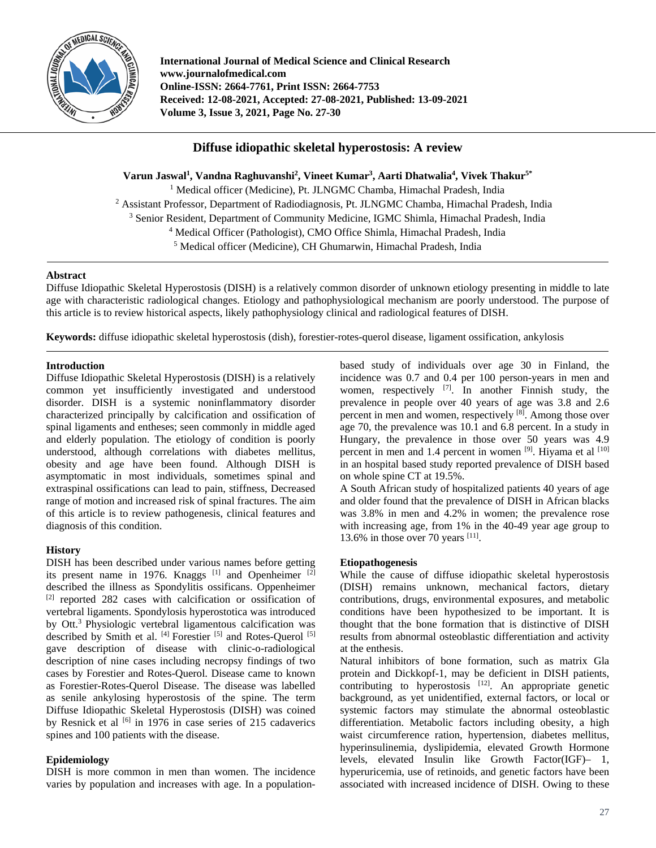

**International Journal of Medical Science and Clinical Research www.journalofmedical.com Online-ISSN: 2664-7761, Print ISSN: 2664-7753 Received: 12-08-2021, Accepted: 27-08-2021, Published: 13-09-2021 Volume 3, Issue 3, 2021, Page No. 27-30**

# **Diffuse idiopathic skeletal hyperostosis: A review**

**Varun Jaswal1 , Vandna Raghuvanshi2 , Vineet Kumar3 , Aarti Dhatwalia4 , Vivek Thakur5\*** <sup>1</sup> Medical officer (Medicine), Pt. JLNGMC Chamba, Himachal Pradesh, India <sup>2</sup> Assistant Professor, Department of Radiodiagnosis, Pt. JLNGMC Chamba, Himachal Pradesh, India <sup>3</sup> Senior Resident, Department of Community Medicine, IGMC Shimla, Himachal Pradesh, India <sup>4</sup> Medical Officer (Pathologist), CMO Office Shimla, Himachal Pradesh, India <sup>5</sup> Medical officer (Medicine), CH Ghumarwin, Himachal Pradesh, India

## **Abstract**

Diffuse Idiopathic Skeletal Hyperostosis (DISH) is a relatively common disorder of unknown etiology presenting in middle to late age with characteristic radiological changes. Etiology and pathophysiological mechanism are poorly understood. The purpose of this article is to review historical aspects, likely pathophysiology clinical and radiological features of DISH.

**Keywords:** diffuse idiopathic skeletal hyperostosis (dish), forestier-rotes-querol disease, ligament ossification, ankylosis

#### **Introduction**

Diffuse Idiopathic Skeletal Hyperostosis (DISH) is a relatively common yet insufficiently investigated and understood disorder. DISH is a systemic noninflammatory disorder characterized principally by calcification and ossification of spinal ligaments and entheses; seen commonly in middle aged and elderly population. The etiology of condition is poorly understood, although correlations with diabetes mellitus, obesity and age have been found. Although DISH is asymptomatic in most individuals, sometimes spinal and extraspinal ossifications can lead to pain, stiffness, Decreased range of motion and increased risk of spinal fractures. The aim of this article is to review pathogenesis, clinical features and diagnosis of this condition.

# **History**

DISH has been described under various names before getting its present name in 1976. Knaggs  $[1]$  and Openheimer  $[2]$ described the illness as Spondylitis ossificans. Oppenheimer [2] reported 282 cases with calcification or ossification of vertebral ligaments. Spondylosis hyperostotica was introduced by Ott.3 Physiologic vertebral ligamentous calcification was described by Smith et al. <sup>[4]</sup> Forestier <sup>[5]</sup> and Rotes-Querol <sup>[5]</sup> gave description of disease with clinic-o-radiological description of nine cases including necropsy findings of two cases by Forestier and Rotes-Querol. Disease came to known as Forestier-Rotes-Querol Disease. The disease was labelled as senile ankylosing hyperostosis of the spine. The term Diffuse Idiopathic Skeletal Hyperostosis (DISH) was coined by Resnick et al <sup>[6]</sup> in 1976 in case series of 215 cadaverics spines and 100 patients with the disease.

# **Epidemiology**

DISH is more common in men than women. The incidence varies by population and increases with age. In a populationbased study of individuals over age 30 in Finland, the incidence was 0.7 and 0.4 per 100 person-years in men and women, respectively  $^{[7]}$ . In another Finnish study, the prevalence in people over 40 years of age was 3.8 and 2.6 percent in men and women, respectively [8]. Among those over age 70, the prevalence was 10.1 and 6.8 percent. In a study in Hungary, the prevalence in those over 50 years was 4.9 percent in men and 1.4 percent in women [9]. Hiyama et al [10] in an hospital based study reported prevalence of DISH based on whole spine CT at 19.5%.

A South African study of hospitalized patients 40 years of age and older found that the prevalence of DISH in African blacks was 3.8% in men and 4.2% in women; the prevalence rose with increasing age, from 1% in the 40-49 year age group to 13.6% in those over 70 years  $^{[11]}$ .

#### **Etiopathogenesis**

While the cause of diffuse idiopathic skeletal hyperostosis (DISH) remains unknown, mechanical factors, dietary contributions, drugs, environmental exposures, and metabolic conditions have been hypothesized to be important. It is thought that the bone formation that is distinctive of DISH results from abnormal osteoblastic differentiation and activity at the enthesis.

Natural inhibitors of bone formation, such as matrix Gla protein and Dickkopf-1, may be deficient in DISH patients, contributing to hyperostosis  $[12]$ . An appropriate genetic background, as yet unidentified, external factors, or local or systemic factors may stimulate the abnormal osteoblastic differentiation. Metabolic factors including obesity, a high waist circumference ration, hypertension, diabetes mellitus, hyperinsulinemia, dyslipidemia, elevated Growth Hormone levels, elevated Insulin like Growth Factor(IGF)– 1, hyperuricemia, use of retinoids, and genetic factors have been associated with increased incidence of DISH. Owing to these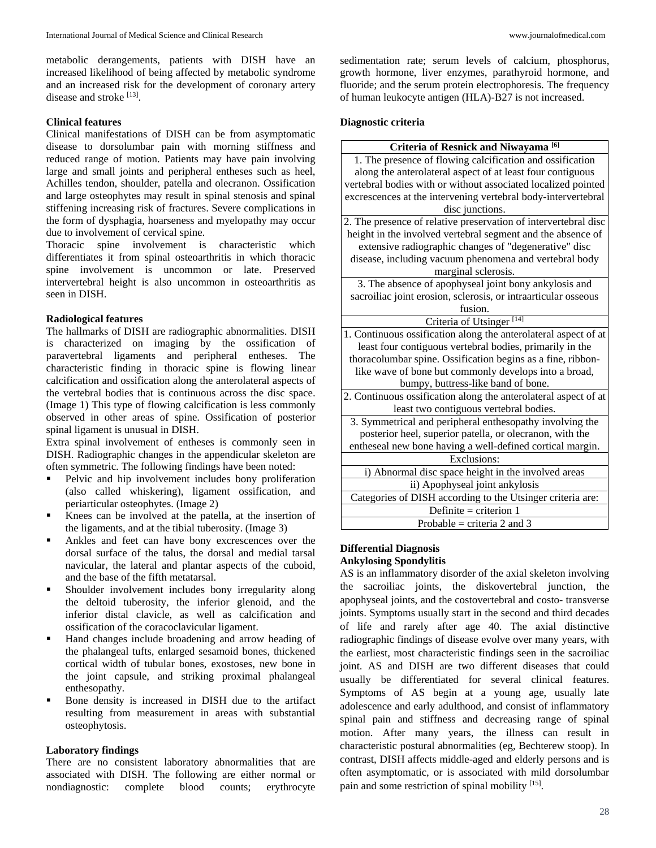metabolic derangements, patients with DISH have an increased likelihood of being affected by metabolic syndrome and an increased risk for the development of coronary artery disease and stroke [13].

#### **Clinical features**

Clinical manifestations of DISH can be from asymptomatic disease to dorsolumbar pain with morning stiffness and reduced range of motion. Patients may have pain involving large and small joints and peripheral entheses such as heel, Achilles tendon, shoulder, patella and olecranon. Ossification and large osteophytes may result in spinal stenosis and spinal stiffening increasing risk of fractures. Severe complications in the form of dysphagia, hoarseness and myelopathy may occur due to involvement of cervical spine.

Thoracic spine involvement is characteristic which differentiates it from spinal osteoarthritis in which thoracic spine involvement is uncommon or late. Preserved intervertebral height is also uncommon in osteoarthritis as seen in DISH.

## **Radiological features**

The hallmarks of DISH are radiographic abnormalities. DISH is characterized on imaging by the ossification of paravertebral ligaments and peripheral entheses. The characteristic finding in thoracic spine is flowing linear calcification and ossification along the anterolateral aspects of the vertebral bodies that is continuous across the disc space. (Image 1) This type of flowing calcification is less commonly observed in other areas of spine. Ossification of posterior spinal ligament is unusual in DISH.

Extra spinal involvement of entheses is commonly seen in DISH. Radiographic changes in the appendicular skeleton are often symmetric. The following findings have been noted:

- **Pelvic and hip involvement includes bony proliferation** (also called whiskering), ligament ossification, and periarticular osteophytes. (Image 2)
- Knees can be involved at the patella, at the insertion of the ligaments, and at the tibial tuberosity. (Image 3)
- Ankles and feet can have bony excrescences over the dorsal surface of the talus, the dorsal and medial tarsal navicular, the lateral and plantar aspects of the cuboid, and the base of the fifth metatarsal.
- Shoulder involvement includes bony irregularity along the deltoid tuberosity, the inferior glenoid, and the inferior distal clavicle, as well as calcification and ossification of the coracoclavicular ligament.
- Hand changes include broadening and arrow heading of the phalangeal tufts, enlarged sesamoid bones, thickened cortical width of tubular bones, exostoses, new bone in the joint capsule, and striking proximal phalangeal enthesopathy.
- Bone density is increased in DISH due to the artifact resulting from measurement in areas with substantial osteophytosis.

# **Laboratory findings**

There are no consistent laboratory abnormalities that are associated with DISH. The following are either normal or nondiagnostic: complete blood counts; erythrocyte

sedimentation rate; serum levels of calcium, phosphorus, growth hormone, liver enzymes, parathyroid hormone, and fluoride; and the serum protein electrophoresis. The frequency of human leukocyte antigen (HLA)-B27 is not increased.

## **Diagnostic criteria**

| Criteria of Resnick and Niwayama <sup>[6]</sup>                 |
|-----------------------------------------------------------------|
| 1. The presence of flowing calcification and ossification       |
| along the anterolateral aspect of at least four contiguous      |
| vertebral bodies with or without associated localized pointed   |
| excrescences at the intervening vertebral body-intervertebral   |
| disc junctions.                                                 |
| 2. The presence of relative preservation of intervertebral disc |
| height in the involved vertebral segment and the absence of     |
| extensive radiographic changes of "degenerative" disc           |
| disease, including vacuum phenomena and vertebral body          |
| marginal sclerosis.                                             |
| 3. The absence of apophyseal joint bony ankylosis and           |
| sacroiliac joint erosion, sclerosis, or intraarticular osseous  |
| fusion.                                                         |
| Criteria of Utsinger <sup>[14]</sup>                            |
| 1. Continuous ossification along the anterolateral aspect of at |
| least four contiguous vertebral bodies, primarily in the        |
| thoracolumbar spine. Ossification begins as a fine, ribbon-     |
| like wave of bone but commonly develops into a broad,           |
| bumpy, buttress-like band of bone.                              |
| 2. Continuous ossification along the anterolateral aspect of at |
| least two contiguous vertebral bodies.                          |
| 3. Symmetrical and peripheral enthesopathy involving the        |
| posterior heel, superior patella, or olecranon, with the        |
| entheseal new bone having a well-defined cortical margin.       |
| Exclusions:                                                     |
| i) Abnormal disc space height in the involved areas             |
| ii) Apophyseal joint ankylosis                                  |
| Categories of DISH according to the Utsinger criteria are:      |
| Definite = criterion $1$                                        |
| Probable = criteria 2 and 3                                     |

# **Differential Diagnosis**

# **Ankylosing Spondylitis**

AS is an inflammatory disorder of the axial skeleton involving the sacroiliac joints, the diskovertebral junction, the apophyseal joints, and the costovertebral and costo- transverse joints. Symptoms usually start in the second and third decades of life and rarely after age 40. The axial distinctive radiographic findings of disease evolve over many years, with the earliest, most characteristic findings seen in the sacroiliac joint. AS and DISH are two different diseases that could usually be differentiated for several clinical features. Symptoms of AS begin at a young age, usually late adolescence and early adulthood, and consist of inflammatory spinal pain and stiffness and decreasing range of spinal motion. After many years, the illness can result in characteristic postural abnormalities (eg, Bechterew stoop). In contrast, DISH affects middle-aged and elderly persons and is often asymptomatic, or is associated with mild dorsolumbar pain and some restriction of spinal mobility [15].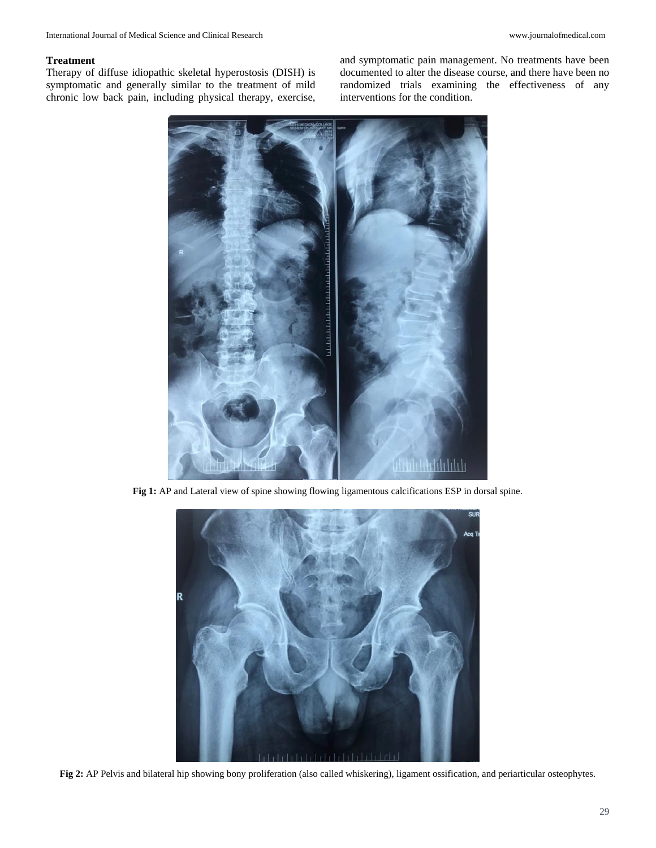#### **Treatment**

Therapy of diffuse idiopathic skeletal hyperostosis (DISH) is symptomatic and generally similar to the treatment of mild chronic low back pain, including physical therapy, exercise, and symptomatic pain management. No treatments have been documented to alter the disease course, and there have been no randomized trials examining the effectiveness of any interventions for the condition.



**Fig 1:** AP and Lateral view of spine showing flowing ligamentous calcifications ESP in dorsal spine.



**Fig 2:** AP Pelvis and bilateral hip showing bony proliferation (also called whiskering), ligament ossification, and periarticular osteophytes.